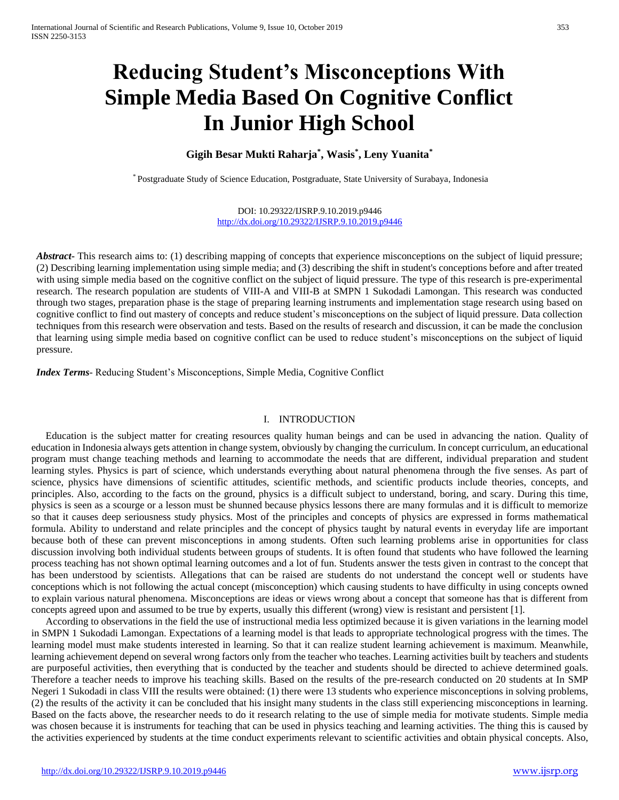# **Reducing Student's Misconceptions With Simple Media Based On Cognitive Conflict In Junior High School**

# **Gigih Besar Mukti Raharja\* , Wasis\* , Leny Yuanita\***

\* Postgraduate Study of Science Education, Postgraduate, State University of Surabaya, Indonesia

DOI: 10.29322/IJSRP.9.10.2019.p9446 <http://dx.doi.org/10.29322/IJSRP.9.10.2019.p9446>

*Abstract* This research aims to: (1) describing mapping of concepts that experience misconceptions on the subject of liquid pressure; (2) Describing learning implementation using simple media; and (3) describing the shift in student's conceptions before and after treated with using simple media based on the cognitive conflict on the subject of liquid pressure. The type of this research is pre-experimental research. The research population are students of VIII-A and VIII-B at SMPN 1 Sukodadi Lamongan. This research was conducted through two stages, preparation phase is the stage of preparing learning instruments and implementation stage research using based on cognitive conflict to find out mastery of concepts and reduce student's misconceptions on the subject of liquid pressure. Data collection techniques from this research were observation and tests. Based on the results of research and discussion, it can be made the conclusion that learning using simple media based on cognitive conflict can be used to reduce student's misconceptions on the subject of liquid pressure.

*Index Terms*- Reducing Student's Misconceptions, Simple Media, Cognitive Conflict

# I. INTRODUCTION

Education is the subject matter for creating resources quality human beings and can be used in advancing the nation. Quality of education in Indonesia always gets attention in change system, obviously by changing the curriculum. In concept curriculum, an educational program must change teaching methods and learning to accommodate the needs that are different, individual preparation and student learning styles. Physics is part of science, which understands everything about natural phenomena through the five senses. As part of science, physics have dimensions of scientific attitudes, scientific methods, and scientific products include theories, concepts, and principles. Also, according to the facts on the ground, physics is a difficult subject to understand, boring, and scary. During this time, physics is seen as a scourge or a lesson must be shunned because physics lessons there are many formulas and it is difficult to memorize so that it causes deep seriousness study physics. Most of the principles and concepts of physics are expressed in forms mathematical formula. Ability to understand and relate principles and the concept of physics taught by natural events in everyday life are important because both of these can prevent misconceptions in among students. Often such learning problems arise in opportunities for class discussion involving both individual students between groups of students. It is often found that students who have followed the learning process teaching has not shown optimal learning outcomes and a lot of fun. Students answer the tests given in contrast to the concept that has been understood by scientists. Allegations that can be raised are students do not understand the concept well or students have conceptions which is not following the actual concept (misconception) which causing students to have difficulty in using concepts owned to explain various natural phenomena. Misconceptions are ideas or views wrong about a concept that someone has that is different from concepts agreed upon and assumed to be true by experts, usually this different (wrong) view is resistant and persistent [1].

According to observations in the field the use of instructional media less optimized because it is given variations in the learning model in SMPN 1 Sukodadi Lamongan. Expectations of a learning model is that leads to appropriate technological progress with the times. The learning model must make students interested in learning. So that it can realize student learning achievement is maximum. Meanwhile, learning achievement depend on several wrong factors only from the teacher who teaches. Learning activities built by teachers and students are purposeful activities, then everything that is conducted by the teacher and students should be directed to achieve determined goals. Therefore a teacher needs to improve his teaching skills. Based on the results of the pre-research conducted on 20 students at In SMP Negeri 1 Sukodadi in class VIII the results were obtained: (1) there were 13 students who experience misconceptions in solving problems, (2) the results of the activity it can be concluded that his insight many students in the class still experiencing misconceptions in learning. Based on the facts above, the researcher needs to do it research relating to the use of simple media for motivate students. Simple media was chosen because it is instruments for teaching that can be used in physics teaching and learning activities. The thing this is caused by the activities experienced by students at the time conduct experiments relevant to scientific activities and obtain physical concepts. Also,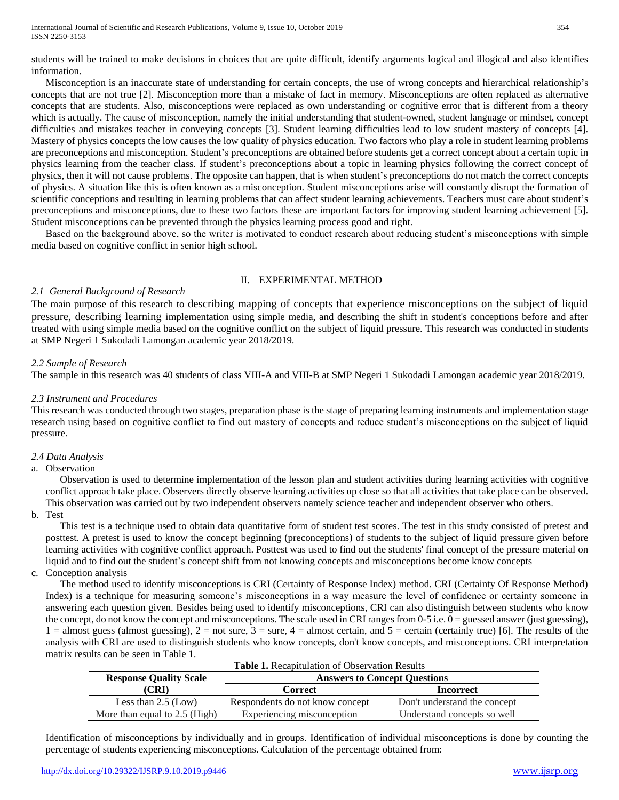students will be trained to make decisions in choices that are quite difficult, identify arguments logical and illogical and also identifies information.

Misconception is an inaccurate state of understanding for certain concepts, the use of wrong concepts and hierarchical relationship's concepts that are not true [2]. Misconception more than a mistake of fact in memory. Misconceptions are often replaced as alternative concepts that are students. Also, misconceptions were replaced as own understanding or cognitive error that is different from a theory which is actually. The cause of misconception, namely the initial understanding that student-owned, student language or mindset, concept difficulties and mistakes teacher in conveying concepts [3]. Student learning difficulties lead to low student mastery of concepts [4]. Mastery of physics concepts the low causes the low quality of physics education. Two factors who play a role in student learning problems are preconceptions and misconception. Student's preconceptions are obtained before students get a correct concept about a certain topic in physics learning from the teacher class. If student's preconceptions about a topic in learning physics following the correct concept of physics, then it will not cause problems. The opposite can happen, that is when student's preconceptions do not match the correct concepts of physics. A situation like this is often known as a misconception. Student misconceptions arise will constantly disrupt the formation of scientific conceptions and resulting in learning problems that can affect student learning achievements. Teachers must care about student's preconceptions and misconceptions, due to these two factors these are important factors for improving student learning achievement [5]. Student misconceptions can be prevented through the physics learning process good and right.

Based on the background above, so the writer is motivated to conduct research about reducing student's misconceptions with simple media based on cognitive conflict in senior high school.

# II. EXPERIMENTAL METHOD

# *2.1 General Background of Research*

The main purpose of this research to describing mapping of concepts that experience misconceptions on the subject of liquid pressure, describing learning implementation using simple media, and describing the shift in student's conceptions before and after treated with using simple media based on the cognitive conflict on the subject of liquid pressure. This research was conducted in students at SMP Negeri 1 Sukodadi Lamongan academic year 2018/2019.

# *2.2 Sample of Research*

The sample in this research was 40 students of class VIII-A and VIII-B at SMP Negeri 1 Sukodadi Lamongan academic year 2018/2019.

## *2.3 Instrument and Procedures*

This research was conducted through two stages, preparation phase is the stage of preparing learning instruments and implementation stage research using based on cognitive conflict to find out mastery of concepts and reduce student's misconceptions on the subject of liquid pressure.

### *2.4 Data Analysis*

### a. Observation

Observation is used to determine implementation of the lesson plan and student activities during learning activities with cognitive conflict approach take place. Observers directly observe learning activities up close so that all activities that take place can be observed. This observation was carried out by two independent observers namely science teacher and independent observer who others.

b. Test

This test is a technique used to obtain data quantitative form of student test scores. The test in this study consisted of pretest and posttest. A pretest is used to know the concept beginning (preconceptions) of students to the subject of liquid pressure given before learning activities with cognitive conflict approach. Posttest was used to find out the students' final concept of the pressure material on liquid and to find out the student's concept shift from not knowing concepts and misconceptions become know concepts

c. Conception analysis

The method used to identify misconceptions is CRI (Certainty of Response Index) method. CRI (Certainty Of Response Method) Index) is a technique for measuring someone's misconceptions in a way measure the level of confidence or certainty someone in answering each question given. Besides being used to identify misconceptions, CRI can also distinguish between students who know the concept, do not know the concept and misconceptions. The scale used in CRI ranges from 0-5 i.e. 0 = guessed answer (just guessing),  $1 =$  almost guess (almost guessing),  $2 =$  not sure,  $3 =$  sure,  $4 =$  almost certain, and  $5 =$  certain (certainly true) [6]. The results of the analysis with CRI are used to distinguish students who know concepts, don't know concepts, and misconceptions. CRI interpretation matrix results can be seen in Table 1.

| <b>Table 1.</b> Recapitulation of Observation Results |                                     |                              |
|-------------------------------------------------------|-------------------------------------|------------------------------|
| <b>Response Quality Scale</b>                         | <b>Answers to Concept Questions</b> |                              |
| (CRI)                                                 | Correct                             | <b>Incorrect</b>             |
| Less than $2.5$ (Low)                                 | Respondents do not know concept     | Don't understand the concept |
| More than equal to $2.5$ (High)                       | Experiencing misconception          | Understand concepts so well  |

Identification of misconceptions by individually and in groups. Identification of individual misconceptions is done by counting the percentage of students experiencing misconceptions. Calculation of the percentage obtained from: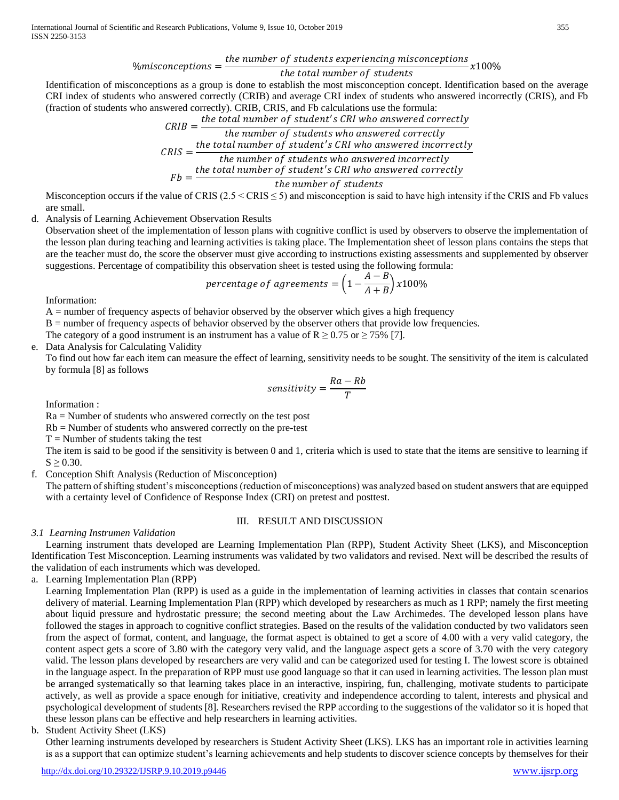$$
\% misconceptions = \frac{the\ number\ of\ students\ experience\ min\ seconds}{t\ \text{with\ total\ number\ of\ students}} \times 100^{\circ}
$$

$$
\frac{1}{2}
$$

Identification of misconceptions as a group is done to establish the most misconception concept. Identification based on the average CRI index of students who answered correctly (CRIB) and average CRI index of students who answered incorrectly (CRIS), and Fb (fraction of students who answered correctly). CRIB, CRIS, and Fb calculations use the formula:

 $CRIB = \frac{the\ total\ number\ of\ student's\ CRI\ who\ answered\ correctly}{the\ number\ of\ total\ network\ proposed\ currently}$ the number of students who answered correctly  $CRIS =$ the total number of student's CRI who answered incorrectly the number of students who answered incorrectly  $Fb = \frac{the total number of student's CRI who answered correctly}{the number of students.}$ 

the number of students

Misconception occurs if the value of CRIS  $(2.5 \leq CRIS \leq 5)$  and misconception is said to have high intensity if the CRIS and Fb values are small.

d. Analysis of Learning Achievement Observation Results

Observation sheet of the implementation of lesson plans with cognitive conflict is used by observers to observe the implementation of the lesson plan during teaching and learning activities is taking place. The Implementation sheet of lesson plans contains the steps that are the teacher must do, the score the observer must give according to instructions existing assessments and supplemented by observer suggestions. Percentage of compatibility this observation sheet is tested using the following formula:

$$
percentage\ of\ agreements = \Big(1-\frac{A-B}{A+B}\Big)x100\%
$$

Information:

 $A =$  number of frequency aspects of behavior observed by the observer which gives a high frequency

B = number of frequency aspects of behavior observed by the observer others that provide low frequencies.

The category of a good instrument is an instrument has a value of  $R \ge 0.75$  or  $\ge 75\%$  [7].

e. Data Analysis for Calculating Validity

To find out how far each item can measure the effect of learning, sensitivity needs to be sought. The sensitivity of the item is calculated by formula [8] as follows

$$
sensitivity = \frac{Ra - Rb}{T}
$$

Information :

 $Ra =$  Number of students who answered correctly on the test post

Rb = Number of students who answered correctly on the pre-test

 $T =$  Number of students taking the test

The item is said to be good if the sensitivity is between 0 and 1, criteria which is used to state that the items are sensitive to learning if  $S \ge 0.30$ .

f. Conception Shift Analysis (Reduction of Misconception)

The pattern of shifting student's misconceptions (reduction of misconceptions) was analyzed based on student answers that are equipped with a certainty level of Confidence of Response Index (CRI) on pretest and posttest.

### III. RESULT AND DISCUSSION

# *3.1 Learning Instrumen Validation*

Learning instrument thats developed are Learning Implementation Plan (RPP), Student Activity Sheet (LKS), and Misconception Identification Test Misconception. Learning instruments was validated by two validators and revised. Next will be described the results of the validation of each instruments which was developed.

a. Learning Implementation Plan (RPP)

Learning Implementation Plan (RPP) is used as a guide in the implementation of learning activities in classes that contain scenarios delivery of material. Learning Implementation Plan (RPP) which developed by researchers as much as 1 RPP; namely the first meeting about liquid pressure and hydrostatic pressure; the second meeting about the Law Archimedes. The developed lesson plans have followed the stages in approach to cognitive conflict strategies. Based on the results of the validation conducted by two validators seen from the aspect of format, content, and language, the format aspect is obtained to get a score of 4.00 with a very valid category, the content aspect gets a score of 3.80 with the category very valid, and the language aspect gets a score of 3.70 with the very category valid. The lesson plans developed by researchers are very valid and can be categorized used for testing I. The lowest score is obtained in the language aspect. In the preparation of RPP must use good language so that it can used in learning activities. The lesson plan must be arranged systematically so that learning takes place in an interactive, inspiring, fun, challenging, motivate students to participate actively, as well as provide a space enough for initiative, creativity and independence according to talent, interests and physical and psychological development of students [8]. Researchers revised the RPP according to the suggestions of the validator so it is hoped that these lesson plans can be effective and help researchers in learning activities.

# b. Student Activity Sheet (LKS)

Other learning instruments developed by researchers is Student Activity Sheet (LKS). LKS has an important role in activities learning is as a support that can optimize student's learning achievements and help students to discover science concepts by themselves for their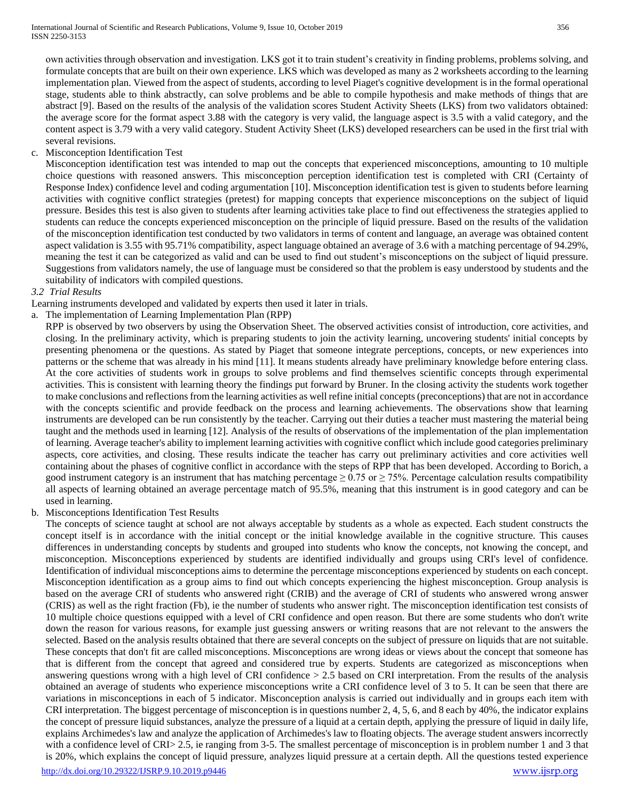own activities through observation and investigation. LKS got it to train student's creativity in finding problems, problems solving, and formulate concepts that are built on their own experience. LKS which was developed as many as 2 worksheets according to the learning implementation plan. Viewed from the aspect of students, according to level Piaget's cognitive development is in the formal operational stage, students able to think abstractly, can solve problems and be able to compile hypothesis and make methods of things that are abstract [9]. Based on the results of the analysis of the validation scores Student Activity Sheets (LKS) from two validators obtained: the average score for the format aspect 3.88 with the category is very valid, the language aspect is 3.5 with a valid category, and the content aspect is 3.79 with a very valid category. Student Activity Sheet (LKS) developed researchers can be used in the first trial with several revisions.

# c. Misconception Identification Test

Misconception identification test was intended to map out the concepts that experienced misconceptions, amounting to 10 multiple choice questions with reasoned answers. This misconception perception identification test is completed with CRI (Certainty of Response Index) confidence level and coding argumentation [10]. Misconception identification test is given to students before learning activities with cognitive conflict strategies (pretest) for mapping concepts that experience misconceptions on the subject of liquid pressure. Besides this test is also given to students after learning activities take place to find out effectiveness the strategies applied to students can reduce the concepts experienced misconception on the principle of liquid pressure. Based on the results of the validation of the misconception identification test conducted by two validators in terms of content and language, an average was obtained content aspect validation is 3.55 with 95.71% compatibility, aspect language obtained an average of 3.6 with a matching percentage of 94.29%, meaning the test it can be categorized as valid and can be used to find out student's misconceptions on the subject of liquid pressure. Suggestions from validators namely, the use of language must be considered so that the problem is easy understood by students and the suitability of indicators with compiled questions.

### *3.2 Trial Results*

Learning instruments developed and validated by experts then used it later in trials.

# a. The implementation of Learning Implementation Plan (RPP)

RPP is observed by two observers by using the Observation Sheet. The observed activities consist of introduction, core activities, and closing. In the preliminary activity, which is preparing students to join the activity learning, uncovering students' initial concepts by presenting phenomena or the questions. As stated by Piaget that someone integrate perceptions, concepts, or new experiences into patterns or the scheme that was already in his mind [11]. It means students already have preliminary knowledge before entering class. At the core activities of students work in groups to solve problems and find themselves scientific concepts through experimental activities. This is consistent with learning theory the findings put forward by Bruner. In the closing activity the students work together to make conclusions and reflections from the learning activities as well refine initial concepts (preconceptions) that are not in accordance with the concepts scientific and provide feedback on the process and learning achievements. The observations show that learning instruments are developed can be run consistently by the teacher. Carrying out their duties a teacher must mastering the material being taught and the methods used in learning [12]. Analysis of the results of observations of the implementation of the plan implementation of learning. Average teacher's ability to implement learning activities with cognitive conflict which include good categories preliminary aspects, core activities, and closing. These results indicate the teacher has carry out preliminary activities and core activities well containing about the phases of cognitive conflict in accordance with the steps of RPP that has been developed. According to Borich, a good instrument category is an instrument that has matching percentage  $\geq 0.75$  or  $\geq 75\%$ . Percentage calculation results compatibility all aspects of learning obtained an average percentage match of 95.5%, meaning that this instrument is in good category and can be used in learning.

### b. Misconceptions Identification Test Results

<http://dx.doi.org/10.29322/IJSRP.9.10.2019.p9446> [www.ijsrp.org](http://ijsrp.org/) The concepts of science taught at school are not always acceptable by students as a whole as expected. Each student constructs the concept itself is in accordance with the initial concept or the initial knowledge available in the cognitive structure. This causes differences in understanding concepts by students and grouped into students who know the concepts, not knowing the concept, and misconception. Misconceptions experienced by students are identified individually and groups using CRI's level of confidence. Identification of individual misconceptions aims to determine the percentage misconceptions experienced by students on each concept. Misconception identification as a group aims to find out which concepts experiencing the highest misconception. Group analysis is based on the average CRI of students who answered right (CRIB) and the average of CRI of students who answered wrong answer (CRIS) as well as the right fraction (Fb), ie the number of students who answer right. The misconception identification test consists of 10 multiple choice questions equipped with a level of CRI confidence and open reason. But there are some students who don't write down the reason for various reasons, for example just guessing answers or writing reasons that are not relevant to the answers the selected. Based on the analysis results obtained that there are several concepts on the subject of pressure on liquids that are not suitable. These concepts that don't fit are called misconceptions. Misconceptions are wrong ideas or views about the concept that someone has that is different from the concept that agreed and considered true by experts. Students are categorized as misconceptions when answering questions wrong with a high level of CRI confidence > 2.5 based on CRI interpretation. From the results of the analysis obtained an average of students who experience misconceptions write a CRI confidence level of 3 to 5. It can be seen that there are variations in misconceptions in each of 5 indicator. Misconception analysis is carried out individually and in groups each item with CRI interpretation. The biggest percentage of misconception is in questions number 2, 4, 5, 6, and 8 each by 40%, the indicator explains the concept of pressure liquid substances, analyze the pressure of a liquid at a certain depth, applying the pressure of liquid in daily life, explains Archimedes's law and analyze the application of Archimedes's law to floating objects. The average student answers incorrectly with a confidence level of CRI> 2.5, ie ranging from 3-5. The smallest percentage of misconception is in problem number 1 and 3 that is 20%, which explains the concept of liquid pressure, analyzes liquid pressure at a certain depth. All the questions tested experience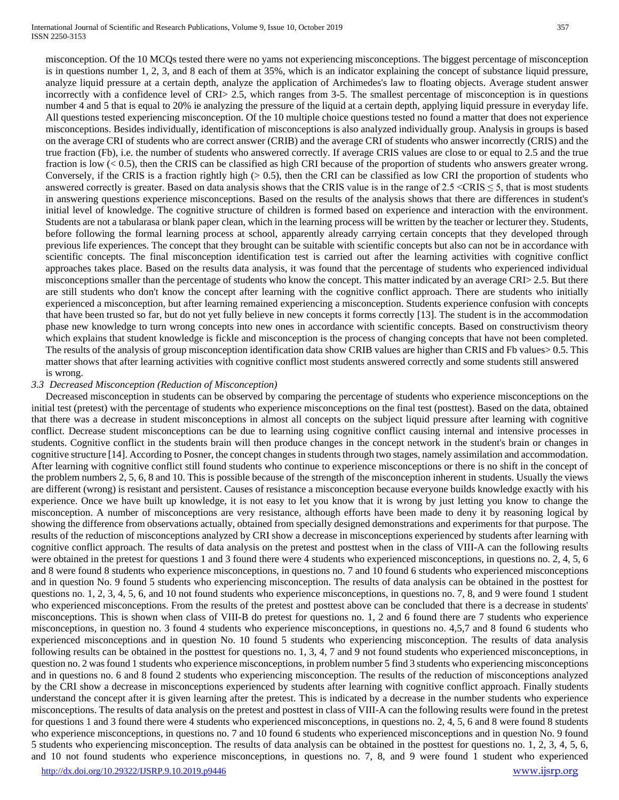misconception. Of the 10 MCQs tested there were no yams not experiencing misconceptions. The biggest percentage of misconception is in questions number 1, 2, 3, and 8 each of them at 35%, which is an indicator explaining the concept of substance liquid pressure, analyze liquid pressure at a certain depth, analyze the application of Archimedes's law to floating objects. Average student answer incorrectly with a confidence level of CRI> 2.5, which ranges from 3-5. The smallest percentage of misconception is in questions number 4 and 5 that is equal to 20% ie analyzing the pressure of the liquid at a certain depth, applying liquid pressure in everyday life. All questions tested experiencing misconception. Of the 10 multiple choice questions tested no found a matter that does not experience misconceptions. Besides individually, identification of misconceptions is also analyzed individually group. Analysis in groups is based on the average CRI of students who are correct answer (CRIB) and the average CRI of students who answer incorrectly (CRIS) and the true fraction (Fb), i.e. the number of students who answered correctly. If average CRIS values are close to or equal to 2.5 and the true fraction is low (< 0.5), then the CRIS can be classified as high CRI because of the proportion of students who answers greater wrong. Conversely, if the CRIS is a fraction rightly high  $(> 0.5)$ , then the CRI can be classified as low CRI the proportion of students who answered correctly is greater. Based on data analysis shows that the CRIS value is in the range of  $2.5 \leq$ CRIS  $\leq$  5, that is most students in answering questions experience misconceptions. Based on the results of the analysis shows that there are differences in student's initial level of knowledge. The cognitive structure of children is formed based on experience and interaction with the environment. Students are not a tabularasa or blank paper clean, which in the learning process will be written by the teacher or lecturer they. Students, before following the formal learning process at school, apparently already carrying certain concepts that they developed through previous life experiences. The concept that they brought can be suitable with scientific concepts but also can not be in accordance with scientific concepts. The final misconception identification test is carried out after the learning activities with cognitive conflict approaches takes place. Based on the results data analysis, it was found that the percentage of students who experienced individual misconceptions smaller than the percentage of students who know the concept. This matter indicated by an average CRI> 2.5. But there are still students who don't know the concept after learning with the cognitive conflict approach. There are students who initially experienced a misconception, but after learning remained experiencing a misconception. Students experience confusion with concepts that have been trusted so far, but do not yet fully believe in new concepts it forms correctly [13]. The student is in the accommodation phase new knowledge to turn wrong concepts into new ones in accordance with scientific concepts. Based on constructivism theory which explains that student knowledge is fickle and misconception is the process of changing concepts that have not been completed. The results of the analysis of group misconception identification data show CRIB values are higher than CRIS and Fb values> 0.5. This matter shows that after learning activities with cognitive conflict most students answered correctly and some students still answered is wrong.

### *3.3 Decreased Misconception (Reduction of Misconception)*

Decreased misconception in students can be observed by comparing the percentage of students who experience misconceptions on the initial test (pretest) with the percentage of students who experience misconceptions on the final test (posttest). Based on the data, obtained that there was a decrease in student misconceptions in almost all concepts on the subject liquid pressure after learning with cognitive conflict. Decrease student misconceptions can be due to learning using cognitive conflict causing internal and intensive processes in students. Cognitive conflict in the students brain will then produce changes in the concept network in the student's brain or changes in cognitive structure [14]. According to Posner, the concept changes in students through two stages, namely assimilation and accommodation. After learning with cognitive conflict still found students who continue to experience misconceptions or there is no shift in the concept of the problem numbers 2, 5, 6, 8 and 10. This is possible because of the strength of the misconception inherent in students. Usually the views are different (wrong) is resistant and persistent. Causes of resistance a misconception because everyone builds knowledge exactly with his experience. Once we have built up knowledge, it is not easy to let you know that it is wrong by just letting you know to change the misconception. A number of misconceptions are very resistance, although efforts have been made to deny it by reasoning logical by showing the difference from observations actually, obtained from specially designed demonstrations and experiments for that purpose. The results of the reduction of misconceptions analyzed by CRI show a decrease in misconceptions experienced by students after learning with cognitive conflict approach. The results of data analysis on the pretest and posttest when in the class of VIII-A can the following results were obtained in the pretest for questions 1 and 3 found there were 4 students who experienced misconceptions, in questions no. 2, 4, 5, 6 and 8 were found 8 students who experience misconceptions, in questions no. 7 and 10 found 6 students who experienced misconceptions and in question No. 9 found 5 students who experiencing misconception. The results of data analysis can be obtained in the posttest for questions no. 1, 2, 3, 4, 5, 6, and 10 not found students who experience misconceptions, in questions no. 7, 8, and 9 were found 1 student who experienced misconceptions. From the results of the pretest and posttest above can be concluded that there is a decrease in students' misconceptions. This is shown when class of VIII-B do pretest for questions no. 1, 2 and 6 found there are 7 students who experience misconceptions, in question no. 3 found 4 students who experience misconceptions, in questions no. 4,5,7 and 8 found 6 students who experienced misconceptions and in question No. 10 found 5 students who experiencing misconception. The results of data analysis following results can be obtained in the posttest for questions no. 1, 3, 4, 7 and 9 not found students who experienced misconceptions, in question no. 2 was found 1 students who experience misconceptions, in problem number 5 find 3 students who experiencing misconceptions and in questions no. 6 and 8 found 2 students who experiencing misconception. The results of the reduction of misconceptions analyzed by the CRI show a decrease in misconceptions experienced by students after learning with cognitive conflict approach. Finally students understand the concept after it is given learning after the pretest. This is indicated by a decrease in the number students who experience misconceptions. The results of data analysis on the pretest and posttest in class of VIII-A can the following results were found in the pretest for questions 1 and 3 found there were 4 students who experienced misconceptions, in questions no. 2, 4, 5, 6 and 8 were found 8 students who experience misconceptions, in questions no. 7 and 10 found 6 students who experienced misconceptions and in question No. 9 found 5 students who experiencing misconception. The results of data analysis can be obtained in the posttest for questions no. 1, 2, 3, 4, 5, 6, and 10 not found students who experience misconceptions, in questions no. 7, 8, and 9 were found 1 student who experienced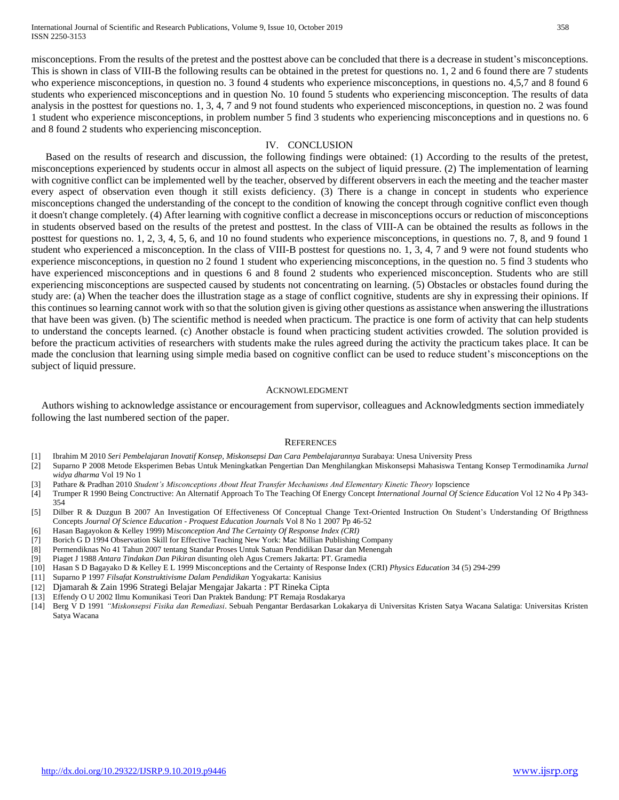International Journal of Scientific and Research Publications, Volume 9, Issue 10, October 2019 358 ISSN 2250-3153

misconceptions. From the results of the pretest and the posttest above can be concluded that there is a decrease in student's misconceptions. This is shown in class of VIII-B the following results can be obtained in the pretest for questions no. 1, 2 and 6 found there are 7 students who experience misconceptions, in question no. 3 found 4 students who experience misconceptions, in questions no. 4,5,7 and 8 found 6 students who experienced misconceptions and in question No. 10 found 5 students who experiencing misconception. The results of data analysis in the posttest for questions no. 1, 3, 4, 7 and 9 not found students who experienced misconceptions, in question no. 2 was found 1 student who experience misconceptions, in problem number 5 find 3 students who experiencing misconceptions and in questions no. 6 and 8 found 2 students who experiencing misconception.

#### IV. CONCLUSION

Based on the results of research and discussion, the following findings were obtained: (1) According to the results of the pretest, misconceptions experienced by students occur in almost all aspects on the subject of liquid pressure. (2) The implementation of learning with cognitive conflict can be implemented well by the teacher, observed by different observers in each the meeting and the teacher master every aspect of observation even though it still exists deficiency. (3) There is a change in concept in students who experience misconceptions changed the understanding of the concept to the condition of knowing the concept through cognitive conflict even though it doesn't change completely. (4) After learning with cognitive conflict a decrease in misconceptions occurs or reduction of misconceptions in students observed based on the results of the pretest and posttest. In the class of VIII-A can be obtained the results as follows in the posttest for questions no. 1, 2, 3, 4, 5, 6, and 10 no found students who experience misconceptions, in questions no. 7, 8, and 9 found 1 student who experienced a misconception. In the class of VIII-B posttest for questions no. 1, 3, 4, 7 and 9 were not found students who experience misconceptions, in question no 2 found 1 student who experiencing misconceptions, in the question no. 5 find 3 students who have experienced misconceptions and in questions 6 and 8 found 2 students who experienced misconception. Students who are still experiencing misconceptions are suspected caused by students not concentrating on learning. (5) Obstacles or obstacles found during the study are: (a) When the teacher does the illustration stage as a stage of conflict cognitive, students are shy in expressing their opinions. If this continues so learning cannot work with so that the solution given is giving other questions as assistance when answering the illustrations that have been was given. (b) The scientific method is needed when practicum. The practice is one form of activity that can help students to understand the concepts learned. (c) Another obstacle is found when practicing student activities crowded. The solution provided is before the practicum activities of researchers with students make the rules agreed during the activity the practicum takes place. It can be made the conclusion that learning using simple media based on cognitive conflict can be used to reduce student's misconceptions on the subject of liquid pressure.

#### ACKNOWLEDGMENT

Authors wishing to acknowledge assistance or encouragement from supervisor, colleagues and Acknowledgments section immediately following the last numbered section of the paper.

#### **REFERENCES**

- [1] Ibrahim M 2010 *Seri Pembelajaran Inovatif Konsep, Miskonsepsi Dan Cara Pembelajarannya* Surabaya: Unesa University Press
- [2] Suparno P 2008 Metode Eksperimen Bebas Untuk Meningkatkan Pengertian Dan Menghilangkan Miskonsepsi Mahasiswa Tentang Konsep Termodinamika *Jurnal widya dharma* Vol 19 No 1
- [3] Pathare & Pradhan 2010 *Student's Misconceptions About Heat Transfer Mechanisms And Elementary Kinetic Theory* Iopscience
- [4] Trumper R 1990 Being Conctructive: An Alternatif Approach To The Teaching Of Energy Concept *International Journal Of Science Education* Vol 12 No 4 Pp 343- 354
- [5] Dilber R & Duzgun B 2007 An Investigation Of Effectiveness Of Conceptual Change Text-Oriented Instruction On Student's Understanding Of Brigthness Concepts *Journal Of Science Education - Proquest Education Journals* Vol 8 No 1 2007 Pp 46-52
- [6] Hasan Bagayokon & Kelley 1999) M*isconception And The Certainty Of Response Index (CRI)*
- [7] Borich G D 1994 Observation Skill for Effective Teaching New York: Mac Millian Publishing Company
- [8] Permendiknas No 41 Tahun 2007 tentang Standar Proses Untuk Satuan Pendidikan Dasar dan Menengah
- [9] Piaget J 1988 *Antara Tindakan Dan Pikiran* disunting oleh Agus Cremers Jakarta: PT. Gramedia
- [10] Hasan S D Bagayako D & Kelley E L 1999 Misconceptions and the Certainty of Response Index (CRI) *Physics Education* 34 (5) 294-299
- [11] Suparno P 1997 *Filsafat Konstruktivisme Dalam Pendidikan* Yogyakarta: Kanisius
- [12] Djamarah & Zain 1996 Strategi Belajar Mengajar Jakarta : PT Rineka Cipta
- [13] Effendy O U 2002 Ilmu Komunikasi Teori Dan Praktek Bandung: PT Remaja Rosdakarya
- [14] Berg V D 1991 *"Miskonsepsi Fisika dan Remediasi*. Sebuah Pengantar Berdasarkan Lokakarya di Universitas Kristen Satya Wacana Salatiga: Universitas Kristen Satya Wacana